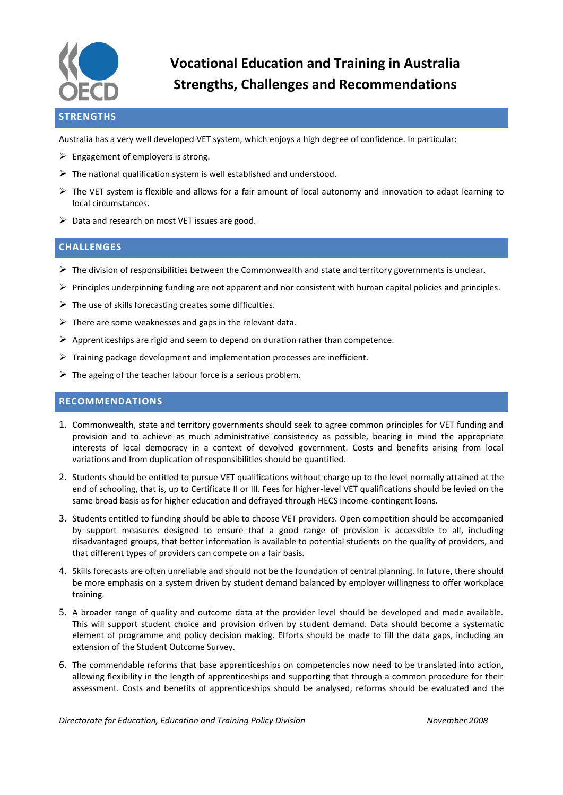

## **STRENGTHS**

Australia has a very well developed VET system, which enjoys a high degree of confidence. In particular:

- $\triangleright$  Engagement of employers is strong.
- $\triangleright$  The national qualification system is well established and understood.
- $\triangleright$  The VET system is flexible and allows for a fair amount of local autonomy and innovation to adapt learning to local circumstances.
- $\triangleright$  Data and research on most VET issues are good.

## **CHALLENGES**

- $\triangleright$  The division of responsibilities between the Commonwealth and state and territory governments is unclear.
- $\triangleright$  Principles underpinning funding are not apparent and nor consistent with human capital policies and principles.
- $\triangleright$  The use of skills forecasting creates some difficulties.
- $\triangleright$  There are some weaknesses and gaps in the relevant data.
- $\triangleright$  Apprenticeships are rigid and seem to depend on duration rather than competence.
- $\triangleright$  Training package development and implementation processes are inefficient.
- $\triangleright$  The ageing of the teacher labour force is a serious problem.

## **RECOMMENDATIONS**

- 1. Commonwealth, state and territory governments should seek to agree common principles for VET funding and provision and to achieve as much administrative consistency as possible, bearing in mind the appropriate interests of local democracy in a context of devolved government. Costs and benefits arising from local variations and from duplication of responsibilities should be quantified.
- 2. Students should be entitled to pursue VET qualifications without charge up to the level normally attained at the end of schooling, that is, up to Certificate II or III. Fees for higher-level VET qualifications should be levied on the same broad basis as for higher education and defrayed through HECS income-contingent loans.
- 3. Students entitled to funding should be able to choose VET providers. Open competition should be accompanied by support measures designed to ensure that a good range of provision is accessible to all, including disadvantaged groups, that better information is available to potential students on the quality of providers, and that different types of providers can compete on a fair basis.
- 4. Skills forecasts are often unreliable and should not be the foundation of central planning. In future, there should be more emphasis on a system driven by student demand balanced by employer willingness to offer workplace training.
- 5. A broader range of quality and outcome data at the provider level should be developed and made available. This will support student choice and provision driven by student demand. Data should become a systematic element of programme and policy decision making. Efforts should be made to fill the data gaps, including an extension of the Student Outcome Survey.
- 6. The commendable reforms that base apprenticeships on competencies now need to be translated into action, allowing flexibility in the length of apprenticeships and supporting that through a common procedure for their assessment. Costs and benefits of apprenticeships should be analysed, reforms should be evaluated and the

*Directorate for Education, Education and Training Policy Division November 2008*